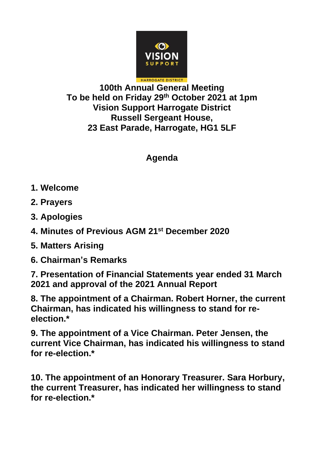

## **100th Annual General Meeting To be held on Friday 29th October 2021 at 1pm Vision Support Harrogate District Russell Sergeant House, 23 East Parade, Harrogate, HG1 5LF**

## **Agenda**

- **1. Welcome**
- **2. Prayers**
- **3. Apologies**
- **4. Minutes of Previous AGM 21st December 2020**
- **5. Matters Arising**
- **6. Chairman's Remarks**

**7. Presentation of Financial Statements year ended 31 March 2021 and approval of the 2021 Annual Report**

**8. The appointment of a Chairman. Robert Horner, the current Chairman, has indicated his willingness to stand for reelection.\***

**9. The appointment of a Vice Chairman. Peter Jensen, the current Vice Chairman, has indicated his willingness to stand for re-election.\***

**10. The appointment of an Honorary Treasurer. Sara Horbury, the current Treasurer, has indicated her willingness to stand for re-election.\***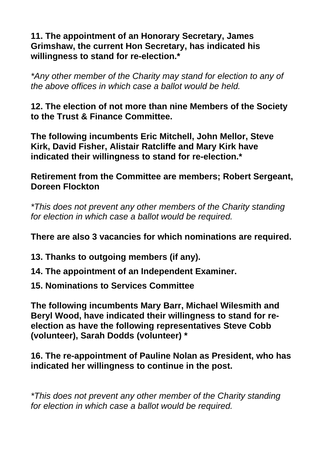## **11. The appointment of an Honorary Secretary, James Grimshaw, the current Hon Secretary, has indicated his willingness to stand for re-election.\***

*\*Any other member of the Charity may stand for election to any of the above offices in which case a ballot would be held.*

**12. The election of not more than nine Members of the Society to the Trust & Finance Committee.**

**The following incumbents Eric Mitchell, John Mellor, Steve Kirk, David Fisher, Alistair Ratcliffe and Mary Kirk have indicated their willingness to stand for re-election.\***

**Retirement from the Committee are members; Robert Sergeant, Doreen Flockton**

*\*This does not prevent any other members of the Charity standing for election in which case a ballot would be required.*

**There are also 3 vacancies for which nominations are required.**

- **13. Thanks to outgoing members (if any).**
- **14. The appointment of an Independent Examiner.**
- **15. Nominations to Services Committee**

**The following incumbents Mary Barr, Michael Wilesmith and Beryl Wood, have indicated their willingness to stand for reelection as have the following representatives Steve Cobb (volunteer), Sarah Dodds (volunteer) \***

**16. The re-appointment of Pauline Nolan as President, who has indicated her willingness to continue in the post.**

*\*This does not prevent any other member of the Charity standing for election in which case a ballot would be required.*